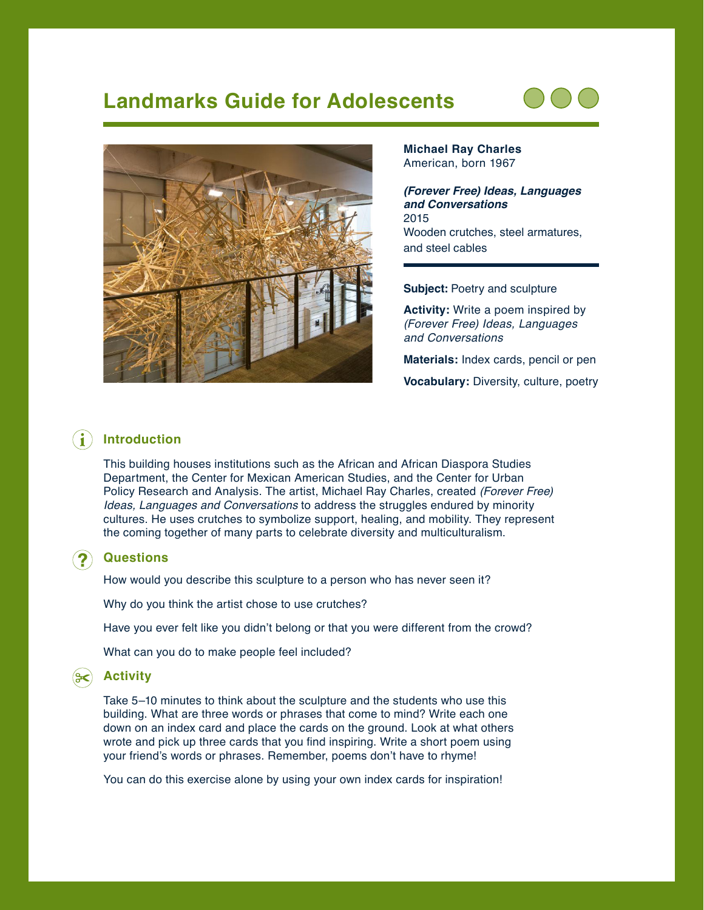# **Landmarks Guide for Adolescents**





**Michael Ray Charles** American, born 1967

*(Forever Free) Ideas, Languages and Conversations* 2015 Wooden crutches, steel armatures, and steel cables

**Subject:** Poetry and sculpture

**Activity:** Write a poem inspired by *(Forever Free) Ideas, Languages and Conversations*

**Materials:** Index cards, pencil or pen

**Vocabulary:** Diversity, culture, poetry

### **Introduction**

This building houses institutions such as the African and African Diaspora Studies Department, the Center for Mexican American Studies, and the Center for Urban Policy Research and Analysis. The artist, Michael Ray Charles, created *(Forever Free) Ideas, Languages and Conversations* to address the struggles endured by minority cultures. He uses crutches to symbolize support, healing, and mobility. They represent the coming together of many parts to celebrate diversity and multiculturalism.

#### **Questions**

How would you describe this sculpture to a person who has never seen it?

Why do you think the artist chose to use crutches?

Have you ever felt like you didn't belong or that you were different from the crowd?

What can you do to make people feel included?

#### **Activity**

Take 5–10 minutes to think about the sculpture and the students who use this building. What are three words or phrases that come to mind? Write each one down on an index card and place the cards on the ground. Look at what others wrote and pick up three cards that you find inspiring. Write a short poem using your friend's words or phrases. Remember, poems don't have to rhyme!

You can do this exercise alone by using your own index cards for inspiration!